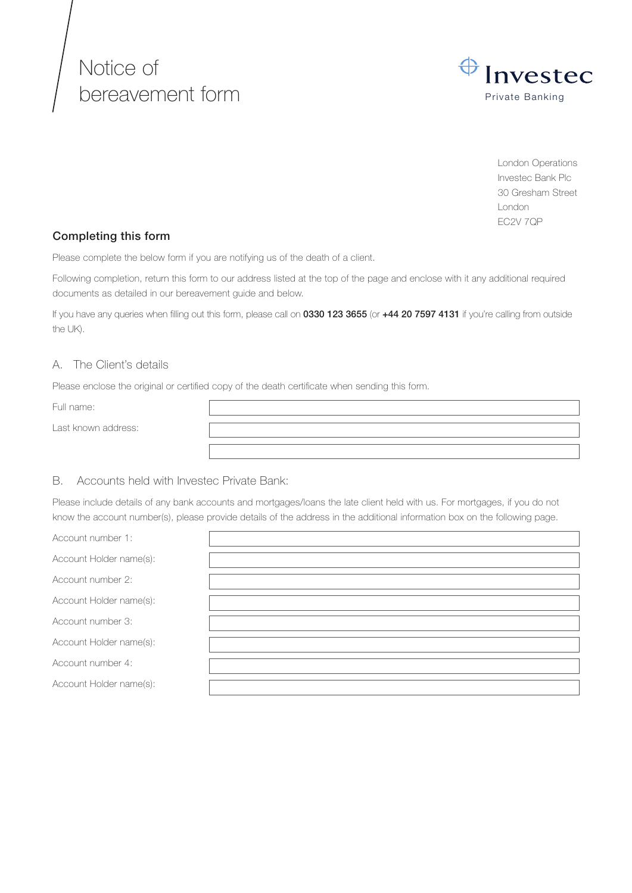# Notice of bereavement form



London Operations Investec Bank Plc 30 Gresham Street London EC2V 7QP

## Completing this form

Please complete the below form if you are notifying us of the death of a client.

Following completion, return this form to our address listed at the top of the page and enclose with it any additional required documents as detailed in our bereavement guide and below.

If you have any queries when filling out this form, please call on 0330 123 3655 (or +44 20 7597 4131 if you're calling from outside the UK).

#### A. The Client's details

Please enclose the original or certified copy of the death certificate when sending this form.

Full name:

Last known address:

#### B. Accounts held with Investec Private Bank:

Please include details of any bank accounts and mortgages/loans the late client held with us. For mortgages, if you do not know the account number(s), please provide details of the address in the additional information box on the following page.

Account number 1:

Account Holder name(s):

Account number 2:

Account Holder name(s):

Account number 3:

Account Holder name(s):

Account number 4:

Account Holder name(s):